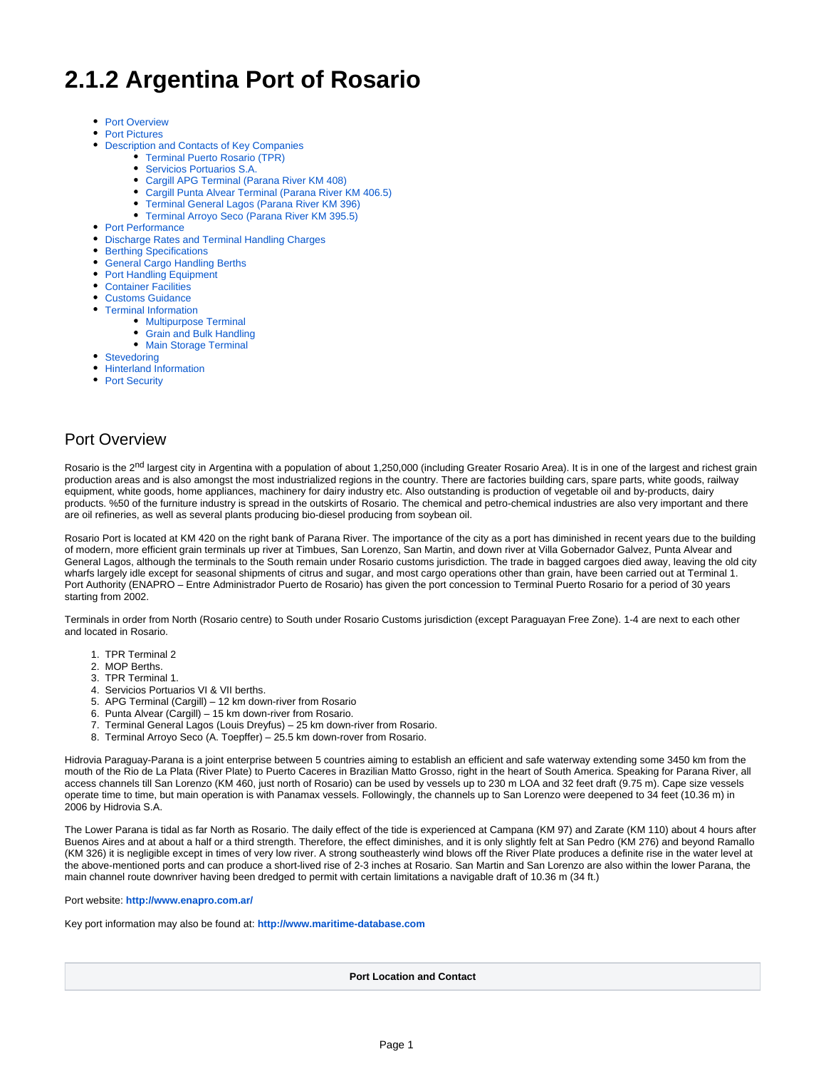# **2.1.2 Argentina Port of Rosario**

- [Port Overview](#page-0-0)
- [Port Pictures](#page-1-0)
- [Description and Contacts of Key Companies](#page-1-1)
	- [Terminal Puerto Rosario \(TPR\)](#page-1-2)
	- **[Servicios Portuarios S.A.](#page-1-3)**
	- [Cargill APG Terminal \(Parana River KM 408\)](#page-2-0)
	- [Cargill Punta Alvear Terminal \(Parana River KM 406.5\)](#page-2-1)
	- [Terminal General Lagos \(Parana River KM 396\)](#page-2-2)
	- [Terminal Arroyo Seco \(Parana River KM 395.5\)](#page-2-3)
- [Port Performance](#page-2-4)
- [Discharge Rates and Terminal Handling Charges](#page-3-0)
- [Berthing Specifications](#page-3-1)
- [General Cargo Handling Berths](#page-3-2)
- [Port Handling Equipment](#page-4-0)
- [Container Facilities](#page-4-1)
- [Customs Guidance](#page-4-2)
- [Terminal Information](#page-5-0)
	- **[Multipurpose Terminal](#page-5-1)**
	- [Grain and Bulk Handling](#page-5-2)
	- [Main Storage Terminal](#page-5-3)
- **[Stevedoring](#page-5-4)**
- [Hinterland Information](#page-5-5)
- [Port Security](#page-6-0)

### <span id="page-0-0"></span>Port Overview

Rosario is the 2<sup>nd</sup> largest city in Argentina with a population of about 1,250,000 (including Greater Rosario Area). It is in one of the largest and richest grain production areas and is also amongst the most industrialized regions in the country. There are factories building cars, spare parts, white goods, railway equipment, white goods, home appliances, machinery for dairy industry etc. Also outstanding is production of vegetable oil and by-products, dairy products. %50 of the furniture industry is spread in the outskirts of Rosario. The chemical and petro-chemical industries are also very important and there are oil refineries, as well as several plants producing bio-diesel producing from soybean oil.

Rosario Port is located at KM 420 on the right bank of Parana River. The importance of the city as a port has diminished in recent years due to the building of modern, more efficient grain terminals up river at Timbues, San Lorenzo, San Martin, and down river at Villa Gobernador Galvez, Punta Alvear and General Lagos, although the terminals to the South remain under Rosario customs jurisdiction. The trade in bagged cargoes died away, leaving the old city wharfs largely idle except for seasonal shipments of citrus and sugar, and most cargo operations other than grain, have been carried out at Terminal 1. Port Authority (ENAPRO – Entre Administrador Puerto de Rosario) has given the port concession to Terminal Puerto Rosario for a period of 30 years starting from 2002.

Terminals in order from North (Rosario centre) to South under Rosario Customs jurisdiction (except Paraguayan Free Zone). 1-4 are next to each other and located in Rosario.

- 1. TPR Terminal 2
- 2. MOP Berths.
- 3. TPR Terminal 1.
- 4. Servicios Portuarios VI & VII berths.
- 5. APG Terminal (Cargill) 12 km down-river from Rosario
- 6. Punta Alvear (Cargill) 15 km down-river from Rosario.
- 7. Terminal General Lagos (Louis Dreyfus) 25 km down-river from Rosario.
- 8. Terminal Arroyo Seco (A. Toepffer) 25.5 km down-rover from Rosario.

Hidrovia Paraguay-Parana is a joint enterprise between 5 countries aiming to establish an efficient and safe waterway extending some 3450 km from the mouth of the Rio de La Plata (River Plate) to Puerto Caceres in Brazilian Matto Grosso, right in the heart of South America. Speaking for Parana River, all access channels till San Lorenzo (KM 460, just north of Rosario) can be used by vessels up to 230 m LOA and 32 feet draft (9.75 m). Cape size vessels operate time to time, but main operation is with Panamax vessels. Followingly, the channels up to San Lorenzo were deepened to 34 feet (10.36 m) in 2006 by Hidrovia S.A.

The Lower Parana is tidal as far North as Rosario. The daily effect of the tide is experienced at Campana (KM 97) and Zarate (KM 110) about 4 hours after Buenos Aires and at about a half or a third strength. Therefore, the effect diminishes, and it is only slightly felt at San Pedro (KM 276) and beyond Ramallo (KM 326) it is negligible except in times of very low river. A strong southeasterly wind blows off the River Plate produces a definite rise in the water level at the above-mentioned ports and can produce a short-lived rise of 2-3 inches at Rosario. San Martin and San Lorenzo are also within the lower Parana, the main channel route downriver having been dredged to permit with certain limitations a navigable draft of 10.36 m (34 ft.)

#### Port website: **<http://www.enapro.com.ar/>**

Key port information may also be found at: **<http://www.maritime-database.com>**

**Port Location and Contact**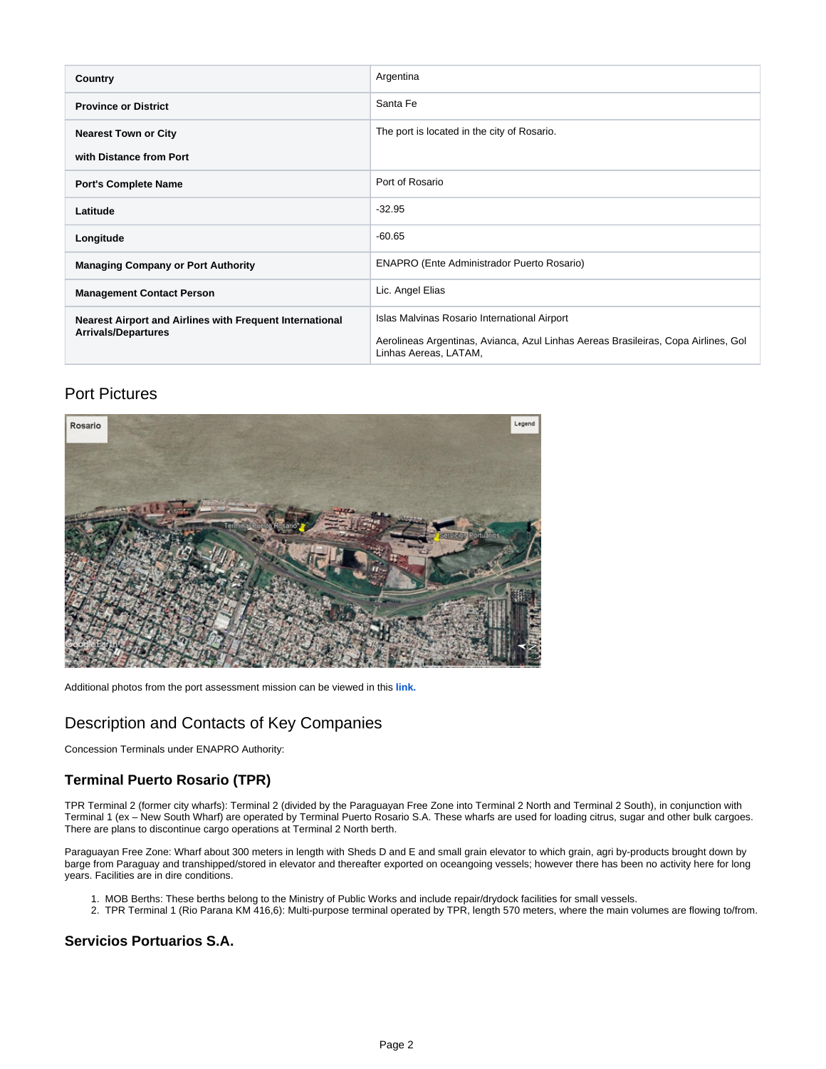| Country                                                                                | Argentina                                                                                                                                                   |  |
|----------------------------------------------------------------------------------------|-------------------------------------------------------------------------------------------------------------------------------------------------------------|--|
| <b>Province or District</b>                                                            | Santa Fe                                                                                                                                                    |  |
| <b>Nearest Town or City</b>                                                            | The port is located in the city of Rosario.                                                                                                                 |  |
| with Distance from Port                                                                |                                                                                                                                                             |  |
| <b>Port's Complete Name</b>                                                            | Port of Rosario                                                                                                                                             |  |
| Latitude                                                                               | $-32.95$                                                                                                                                                    |  |
| Longitude                                                                              | $-60.65$                                                                                                                                                    |  |
| <b>Managing Company or Port Authority</b>                                              | <b>ENAPRO (Ente Administrador Puerto Rosario)</b>                                                                                                           |  |
| <b>Management Contact Person</b>                                                       | Lic. Angel Elias                                                                                                                                            |  |
| Nearest Airport and Airlines with Frequent International<br><b>Arrivals/Departures</b> | Islas Malvinas Rosario International Airport<br>Aerolineas Argentinas, Avianca, Azul Linhas Aereas Brasileiras, Copa Airlines, Gol<br>Linhas Aereas, LATAM, |  |

# Port Pictures

<span id="page-1-0"></span>

Additional photos from the port assessment mission can be viewed in this **[link.](https://www.dropbox.com/home/nmk ar uy br mx/Argentina/Rosario)**

# <span id="page-1-1"></span>Description and Contacts of Key Companies

Concession Terminals under ENAPRO Authority:

### <span id="page-1-2"></span>**Terminal Puerto Rosario (TPR)**

TPR Terminal 2 (former city wharfs): Terminal 2 (divided by the Paraguayan Free Zone into Terminal 2 North and Terminal 2 South), in conjunction with Terminal 1 (ex – New South Wharf) are operated by Terminal Puerto Rosario S.A. These wharfs are used for loading citrus, sugar and other bulk cargoes. There are plans to discontinue cargo operations at Terminal 2 North berth.

Paraguayan Free Zone: Wharf about 300 meters in length with Sheds D and E and small grain elevator to which grain, agri by-products brought down by barge from Paraguay and transhipped/stored in elevator and thereafter exported on oceangoing vessels; however there has been no activity here for long years. Facilities are in dire conditions.

- 1. MOB Berths: These berths belong to the Ministry of Public Works and include repair/drydock facilities for small vessels.
- 2. TPR Terminal 1 (Rio Parana KM 416,6): Multi-purpose terminal operated by TPR, length 570 meters, where the main volumes are flowing to/from.

#### <span id="page-1-3"></span>**Servicios Portuarios S.A.**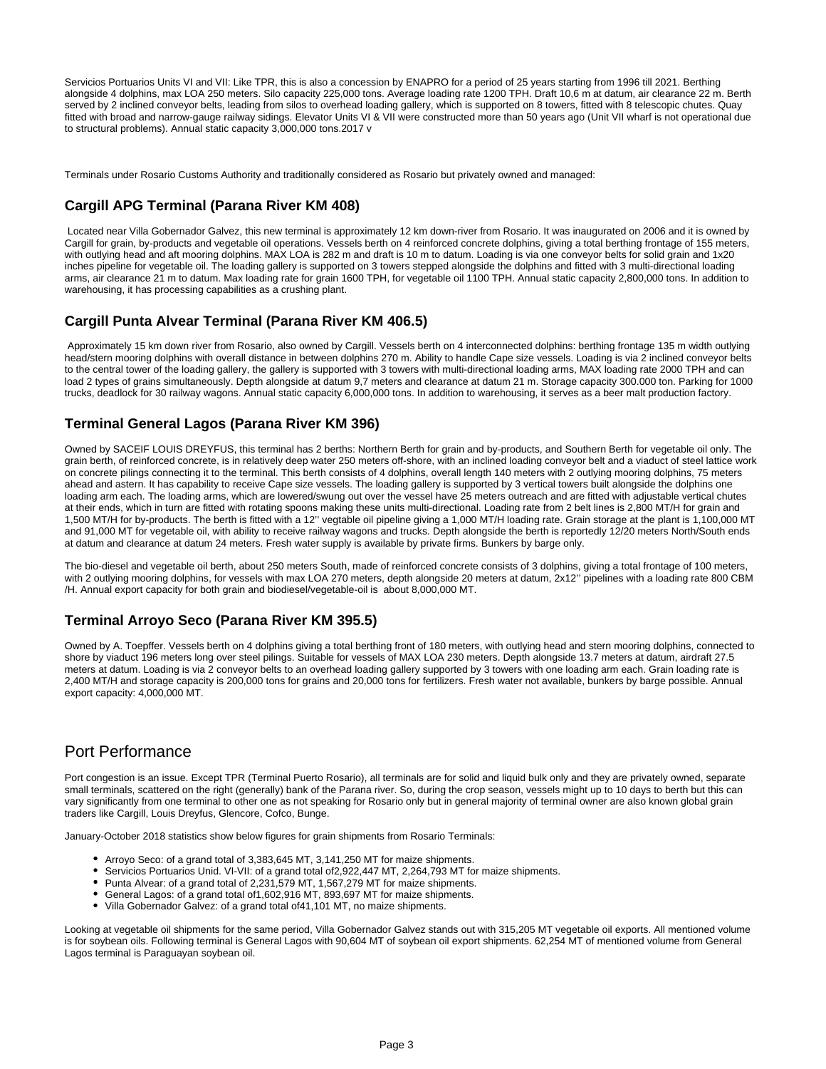Servicios Portuarios Units VI and VII: Like TPR, this is also a concession by ENAPRO for a period of 25 years starting from 1996 till 2021. Berthing alongside 4 dolphins, max LOA 250 meters. Silo capacity 225,000 tons. Average loading rate 1200 TPH. Draft 10,6 m at datum, air clearance 22 m. Berth served by 2 inclined conveyor belts, leading from silos to overhead loading gallery, which is supported on 8 towers, fitted with 8 telescopic chutes. Quay fitted with broad and narrow-gauge railway sidings. Elevator Units VI & VII were constructed more than 50 years ago (Unit VII wharf is not operational due to structural problems). Annual static capacity 3,000,000 tons.2017 v

Terminals under Rosario Customs Authority and traditionally considered as Rosario but privately owned and managed:

#### <span id="page-2-0"></span>**Cargill APG Terminal (Parana River KM 408)**

 Located near Villa Gobernador Galvez, this new terminal is approximately 12 km down-river from Rosario. It was inaugurated on 2006 and it is owned by Cargill for grain, by-products and vegetable oil operations. Vessels berth on 4 reinforced concrete dolphins, giving a total berthing frontage of 155 meters, with outlying head and aft mooring dolphins. MAX LOA is 282 m and draft is 10 m to datum. Loading is via one conveyor belts for solid grain and 1x20 inches pipeline for vegetable oil. The loading gallery is supported on 3 towers stepped alongside the dolphins and fitted with 3 multi-directional loading arms, air clearance 21 m to datum. Max loading rate for grain 1600 TPH, for vegetable oil 1100 TPH. Annual static capacity 2,800,000 tons. In addition to warehousing, it has processing capabilities as a crushing plant.

#### <span id="page-2-1"></span>**Cargill Punta Alvear Terminal (Parana River KM 406.5)**

 Approximately 15 km down river from Rosario, also owned by Cargill. Vessels berth on 4 interconnected dolphins: berthing frontage 135 m width outlying head/stern mooring dolphins with overall distance in between dolphins 270 m. Ability to handle Cape size vessels. Loading is via 2 inclined conveyor belts to the central tower of the loading gallery, the gallery is supported with 3 towers with multi-directional loading arms, MAX loading rate 2000 TPH and can load 2 types of grains simultaneously. Depth alongside at datum 9,7 meters and clearance at datum 21 m. Storage capacity 300.000 ton. Parking for 1000 trucks, deadlock for 30 railway wagons. Annual static capacity 6,000,000 tons. In addition to warehousing, it serves as a beer malt production factory.

#### <span id="page-2-2"></span>**Terminal General Lagos (Parana River KM 396)**

Owned by SACEIF LOUIS DREYFUS, this terminal has 2 berths: Northern Berth for grain and by-products, and Southern Berth for vegetable oil only. The grain berth, of reinforced concrete, is in relatively deep water 250 meters off-shore, with an inclined loading conveyor belt and a viaduct of steel lattice work on concrete pilings connecting it to the terminal. This berth consists of 4 dolphins, overall length 140 meters with 2 outlying mooring dolphins, 75 meters ahead and astern. It has capability to receive Cape size vessels. The loading gallery is supported by 3 vertical towers built alongside the dolphins one loading arm each. The loading arms, which are lowered/swung out over the vessel have 25 meters outreach and are fitted with adjustable vertical chutes at their ends, which in turn are fitted with rotating spoons making these units multi-directional. Loading rate from 2 belt lines is 2,800 MT/H for grain and 1,500 MT/H for by-products. The berth is fitted with a 12'' vegtable oil pipeline giving a 1,000 MT/H loading rate. Grain storage at the plant is 1,100,000 MT and 91,000 MT for vegetable oil, with ability to receive railway wagons and trucks. Depth alongside the berth is reportedly 12/20 meters North/South ends at datum and clearance at datum 24 meters. Fresh water supply is available by private firms. Bunkers by barge only.

The bio-diesel and vegetable oil berth, about 250 meters South, made of reinforced concrete consists of 3 dolphins, giving a total frontage of 100 meters, with 2 outlying mooring dolphins, for vessels with max LOA 270 meters, depth alongside 20 meters at datum, 2x12'' pipelines with a loading rate 800 CBM /H. Annual export capacity for both grain and biodiesel/vegetable-oil is about 8,000,000 MT.

#### <span id="page-2-3"></span>**Terminal Arroyo Seco (Parana River KM 395.5)**

Owned by A. Toepffer. Vessels berth on 4 dolphins giving a total berthing front of 180 meters, with outlying head and stern mooring dolphins, connected to shore by viaduct 196 meters long over steel pilings. Suitable for vessels of MAX LOA 230 meters. Depth alongside 13.7 meters at datum, airdraft 27.5 meters at datum. Loading is via 2 conveyor belts to an overhead loading gallery supported by 3 towers with one loading arm each. Grain loading rate is 2,400 MT/H and storage capacity is 200,000 tons for grains and 20,000 tons for fertilizers. Fresh water not available, bunkers by barge possible. Annual export capacity: 4,000,000 MT.

### <span id="page-2-4"></span>Port Performance

Port congestion is an issue. Except TPR (Terminal Puerto Rosario), all terminals are for solid and liquid bulk only and they are privately owned, separate small terminals, scattered on the right (generally) bank of the Parana river. So, during the crop season, vessels might up to 10 days to berth but this can vary significantly from one terminal to other one as not speaking for Rosario only but in general majority of terminal owner are also known global grain traders like Cargill, Louis Dreyfus, Glencore, Cofco, Bunge.

January-October 2018 statistics show below figures for grain shipments from Rosario Terminals:

- Arroyo Seco: of a grand total of 3,383,645 MT, 3,141,250 MT for maize shipments.
- Servicios Portuarios Unid. VI-VII: of a grand total of2,922,447 MT, 2,264,793 MT for maize shipments.
- Punta Alvear: of a grand total of 2,231,579 MT, 1,567,279 MT for maize shipments.
- General Lagos: of a grand total of1,602,916 MT, 893,697 MT for maize shipments.
- Villa Gobernador Galvez: of a grand total of41,101 MT, no maize shipments.

Looking at vegetable oil shipments for the same period, Villa Gobernador Galvez stands out with 315,205 MT vegetable oil exports. All mentioned volume is for soybean oils. Following terminal is General Lagos with 90,604 MT of soybean oil export shipments. 62,254 MT of mentioned volume from General Lagos terminal is Paraguayan soybean oil.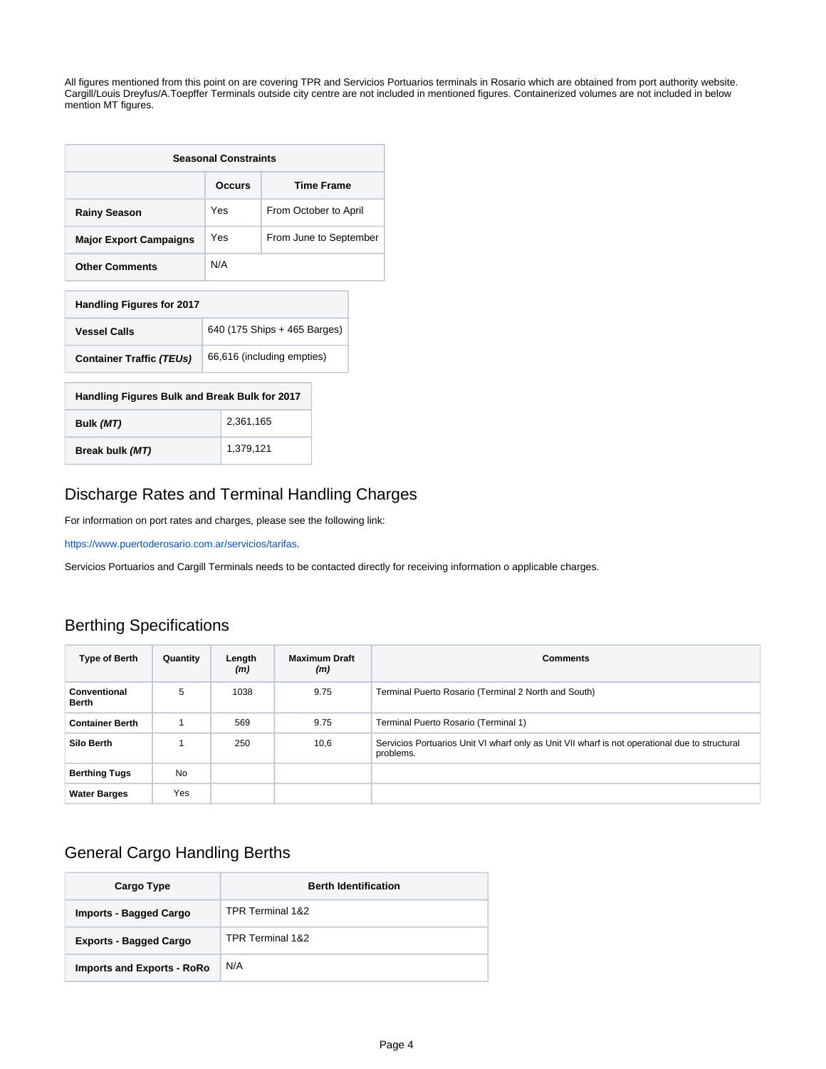All figures mentioned from this point on are covering TPR and Servicios Portuarios terminals in Rosario which are obtained from port authority website. Cargill/Louis Dreyfus/A.Toepffer Terminals outside city centre are not included in mentioned figures. Containerized volumes are not included in below mention MT figures.

| <b>Seasonal Constraints</b>                   |                               |  |  |  |
|-----------------------------------------------|-------------------------------|--|--|--|
|                                               | <b>Time Frame</b><br>Occurs   |  |  |  |
| <b>Rainy Season</b>                           | Yes<br>From October to April  |  |  |  |
| <b>Major Export Campaigns</b>                 | Yes<br>From June to September |  |  |  |
| <b>Other Comments</b>                         | N/A                           |  |  |  |
| <b>Handling Figures for 2017</b>              |                               |  |  |  |
| <b>Vessel Calls</b>                           | 640 (175 Ships + 465 Barges)  |  |  |  |
| <b>Container Traffic (TEUs)</b>               | 66,616 (including empties)    |  |  |  |
| Handling Figures Bulk and Break Bulk for 2017 |                               |  |  |  |
| 2.361.165<br>Bulk (MT)                        |                               |  |  |  |
| Break bulk (MT)                               | 1,379,121                     |  |  |  |

# <span id="page-3-0"></span>Discharge Rates and Terminal Handling Charges

For information on port rates and charges, please see the following link:

<https://www.puertoderosario.com.ar/servicios/tarifas>.

Servicios Portuarios and Cargill Terminals needs to be contacted directly for receiving information o applicable charges.

# <span id="page-3-1"></span>Berthing Specifications

| <b>Type of Berth</b>   | Quantity  | Length<br>(m) | <b>Maximum Draft</b><br>(m) | <b>Comments</b>                                                                                             |
|------------------------|-----------|---------------|-----------------------------|-------------------------------------------------------------------------------------------------------------|
| Conventional<br>Berth  | 5         | 1038          | 9.75                        | Terminal Puerto Rosario (Terminal 2 North and South)                                                        |
| <b>Container Berth</b> |           | 569           | 9.75                        | Terminal Puerto Rosario (Terminal 1)                                                                        |
| <b>Silo Berth</b>      |           | 250           | 10,6                        | Servicios Portuarios Unit VI wharf only as Unit VII wharf is not operational due to structural<br>problems. |
| <b>Berthing Tugs</b>   | <b>No</b> |               |                             |                                                                                                             |
| <b>Water Barges</b>    | Yes       |               |                             |                                                                                                             |

# <span id="page-3-2"></span>General Cargo Handling Berths

| Cargo Type                        | <b>Berth Identification</b> |
|-----------------------------------|-----------------------------|
| Imports - Bagged Cargo            | TPR Terminal 1&2            |
| <b>Exports - Bagged Cargo</b>     | TPR Terminal 1&2            |
| <b>Imports and Exports - RoRo</b> | N/A                         |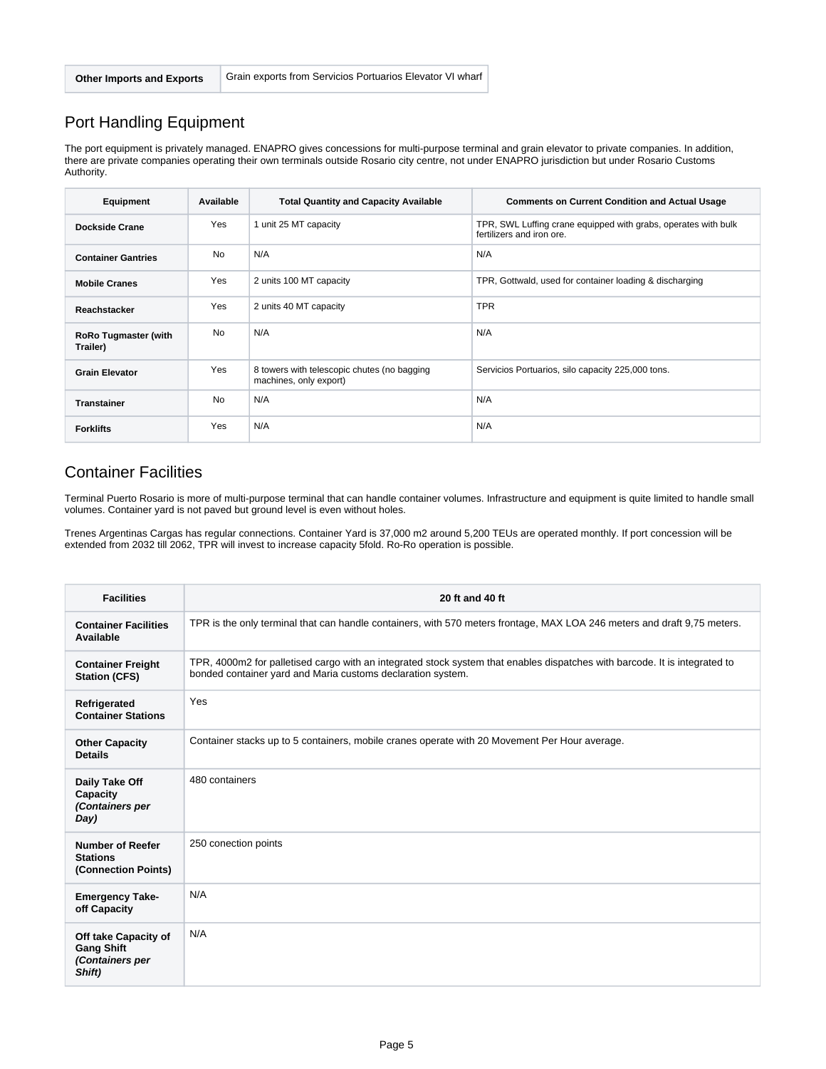### <span id="page-4-0"></span>Port Handling Equipment

The port equipment is privately managed. ENAPRO gives concessions for multi-purpose terminal and grain elevator to private companies. In addition, there are private companies operating their own terminals outside Rosario city centre, not under ENAPRO jurisdiction but under Rosario Customs Authority.

| Equipment                               | Available  | <b>Total Quantity and Capacity Available</b>                          | <b>Comments on Current Condition and Actual Usage</b>                                       |  |
|-----------------------------------------|------------|-----------------------------------------------------------------------|---------------------------------------------------------------------------------------------|--|
| <b>Dockside Crane</b>                   | Yes        | 1 unit 25 MT capacity                                                 | TPR, SWL Luffing crane equipped with grabs, operates with bulk<br>fertilizers and iron ore. |  |
| <b>Container Gantries</b>               | No         | N/A                                                                   | N/A                                                                                         |  |
| <b>Mobile Cranes</b>                    | Yes        | 2 units 100 MT capacity                                               | TPR, Gottwald, used for container loading & discharging                                     |  |
| Reachstacker                            | Yes        | 2 units 40 MT capacity                                                | <b>TPR</b>                                                                                  |  |
| <b>RoRo Tugmaster (with</b><br>Trailer) | No         | N/A                                                                   | N/A                                                                                         |  |
| <b>Grain Elevator</b>                   | <b>Yes</b> | 8 towers with telescopic chutes (no bagging<br>machines, only export) | Servicios Portuarios, silo capacity 225,000 tons.                                           |  |
| <b>Transtainer</b>                      | No         | N/A                                                                   | N/A                                                                                         |  |
| <b>Forklifts</b>                        | Yes        | N/A                                                                   | N/A                                                                                         |  |

### <span id="page-4-1"></span>Container Facilities

Terminal Puerto Rosario is more of multi-purpose terminal that can handle container volumes. Infrastructure and equipment is quite limited to handle small volumes. Container yard is not paved but ground level is even without holes.

Trenes Argentinas Cargas has regular connections. Container Yard is 37,000 m2 around 5,200 TEUs are operated monthly. If port concession will be extended from 2032 till 2062, TPR will invest to increase capacity 5fold. Ro-Ro operation is possible.

<span id="page-4-2"></span>

| <b>Facilities</b>                                                      | 20 ft and 40 ft                                                                                                                                                                           |
|------------------------------------------------------------------------|-------------------------------------------------------------------------------------------------------------------------------------------------------------------------------------------|
| <b>Container Facilities</b><br>Available                               | TPR is the only terminal that can handle containers, with 570 meters frontage, MAX LOA 246 meters and draft 9,75 meters.                                                                  |
| <b>Container Freight</b><br><b>Station (CFS)</b>                       | TPR, 4000m2 for palletised cargo with an integrated stock system that enables dispatches with barcode. It is integrated to<br>bonded container yard and Maria customs declaration system. |
| Refrigerated<br><b>Container Stations</b>                              | Yes                                                                                                                                                                                       |
| <b>Other Capacity</b><br><b>Details</b>                                | Container stacks up to 5 containers, mobile cranes operate with 20 Movement Per Hour average.                                                                                             |
| Daily Take Off<br>Capacity<br>(Containers per<br>Day)                  | 480 containers                                                                                                                                                                            |
| <b>Number of Reefer</b><br><b>Stations</b><br>(Connection Points)      | 250 conection points                                                                                                                                                                      |
| <b>Emergency Take-</b><br>off Capacity                                 | N/A                                                                                                                                                                                       |
| Off take Capacity of<br><b>Gang Shift</b><br>(Containers per<br>Shift) | N/A                                                                                                                                                                                       |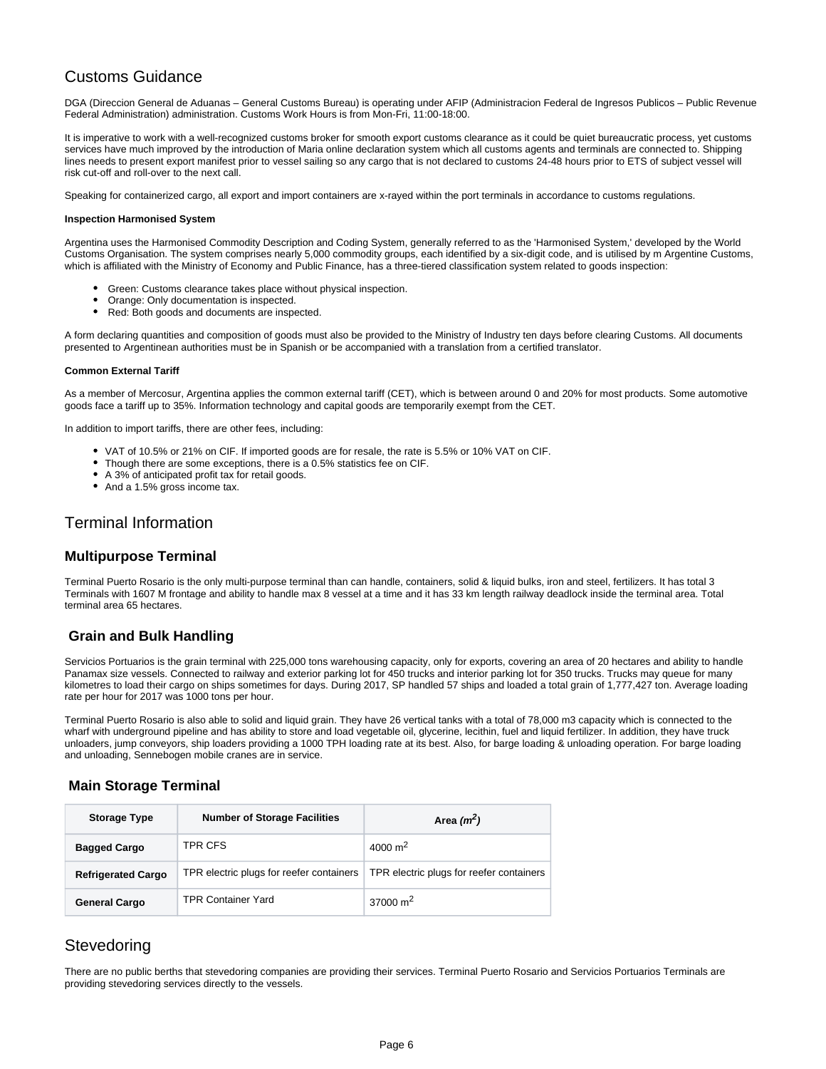### Customs Guidance

DGA (Direccion General de Aduanas – General Customs Bureau) is operating under AFIP (Administracion Federal de Ingresos Publicos – Public Revenue Federal Administration) administration. Customs Work Hours is from Mon-Fri, 11:00-18:00.

It is imperative to work with a well-recognized customs broker for smooth export customs clearance as it could be quiet bureaucratic process, yet customs services have much improved by the introduction of Maria online declaration system which all customs agents and terminals are connected to. Shipping lines needs to present export manifest prior to vessel sailing so any cargo that is not declared to customs 24-48 hours prior to ETS of subject vessel will risk cut-off and roll-over to the next call.

Speaking for containerized cargo, all export and import containers are x-rayed within the port terminals in accordance to customs regulations.

#### **Inspection Harmonised System**

Argentina uses the Harmonised Commodity Description and Coding System, generally referred to as the 'Harmonised System,' developed by the World Customs Organisation. The system comprises nearly 5,000 commodity groups, each identified by a six-digit code, and is utilised by m Argentine Customs, which is affiliated with the Ministry of Economy and Public Finance, has a three-tiered classification system related to goods inspection:

- Green: Customs clearance takes place without physical inspection.
- Orange: Only documentation is inspected.
- $\bullet$ Red: Both goods and documents are inspected.

A form declaring quantities and composition of goods must also be provided to the Ministry of Industry ten days before clearing Customs. All documents presented to Argentinean authorities must be in Spanish or be accompanied with a translation from a certified translator.

#### **Common External Tariff**

As a member of Mercosur, Argentina applies the common external tariff (CET), which is between around 0 and 20% for most products. Some automotive goods face a tariff up to 35%. Information technology and capital goods are temporarily exempt from the CET.

In addition to import tariffs, there are other fees, including:

- VAT of 10.5% or 21% on CIF. If imported goods are for resale, the rate is 5.5% or 10% VAT on CIF.
- Though there are some exceptions, there is a 0.5% statistics fee on CIF.
- A 3% of anticipated profit tax for retail goods.
- And a 1.5% gross income tax.

### <span id="page-5-0"></span>Terminal Information

#### <span id="page-5-1"></span>**Multipurpose Terminal**

Terminal Puerto Rosario is the only multi-purpose terminal than can handle, containers, solid & liquid bulks, iron and steel, fertilizers. It has total 3 Terminals with 1607 M frontage and ability to handle max 8 vessel at a time and it has 33 km length railway deadlock inside the terminal area. Total terminal area 65 hectares.

#### <span id="page-5-2"></span>**Grain and Bulk Handling**

Servicios Portuarios is the grain terminal with 225,000 tons warehousing capacity, only for exports, covering an area of 20 hectares and ability to handle Panamax size vessels. Connected to railway and exterior parking lot for 450 trucks and interior parking lot for 350 trucks. Trucks may queue for many kilometres to load their cargo on ships sometimes for days. During 2017, SP handled 57 ships and loaded a total grain of 1,777,427 ton. Average loading rate per hour for 2017 was 1000 tons per hour.

Terminal Puerto Rosario is also able to solid and liquid grain. They have 26 vertical tanks with a total of 78,000 m3 capacity which is connected to the wharf with underground pipeline and has ability to store and load vegetable oil, glycerine, lecithin, fuel and liquid fertilizer. In addition, they have truck unloaders, jump conveyors, ship loaders providing a 1000 TPH loading rate at its best. Also, for barge loading & unloading operation. For barge loading and unloading, Sennebogen mobile cranes are in service.

#### <span id="page-5-3"></span>**Main Storage Terminal**

| <b>Storage Type</b>       | <b>Number of Storage Facilities</b>      | Area $(m^2)$                             |
|---------------------------|------------------------------------------|------------------------------------------|
| <b>Bagged Cargo</b>       | TPR CFS                                  | 4000 $m2$                                |
| <b>Refrigerated Cargo</b> | TPR electric plugs for reefer containers | TPR electric plugs for reefer containers |
| <b>General Cargo</b>      | <b>TPR Container Yard</b>                | 37000 $m2$                               |

### <span id="page-5-4"></span>**Stevedoring**

<span id="page-5-5"></span>There are no public berths that stevedoring companies are providing their services. Terminal Puerto Rosario and Servicios Portuarios Terminals are providing stevedoring services directly to the vessels.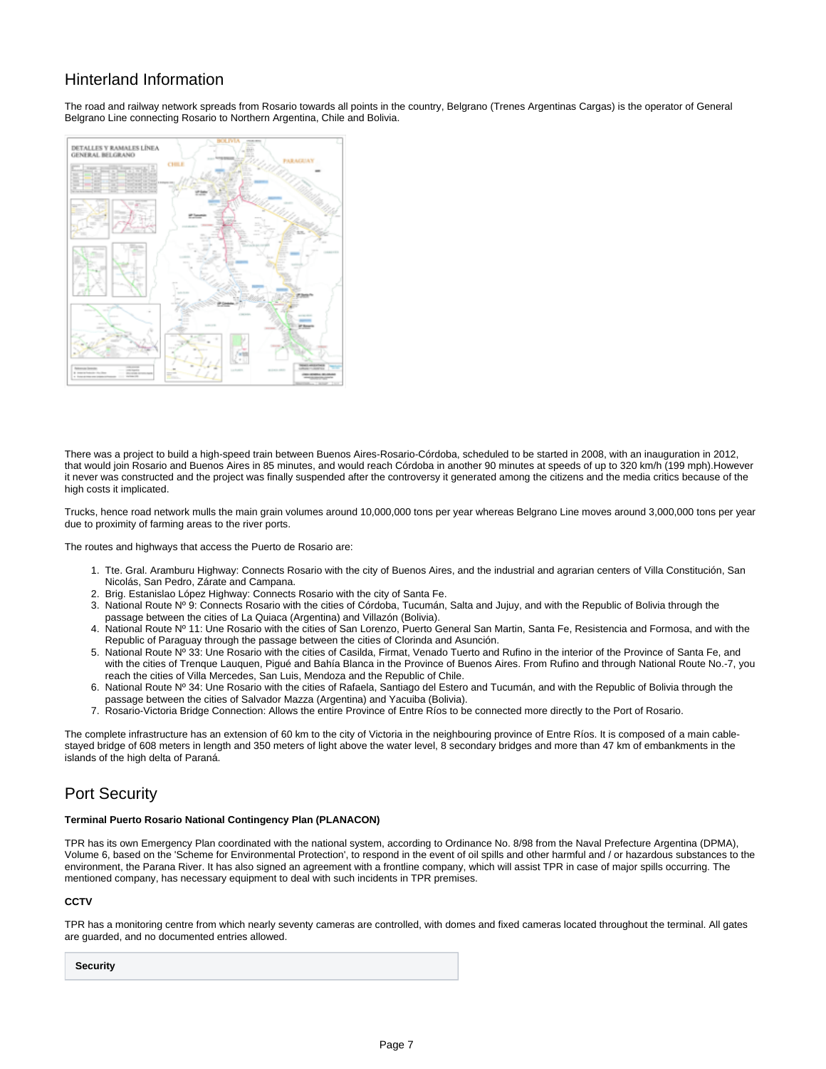### Hinterland Information

The road and railway network spreads from Rosario towards all points in the country, Belgrano (Trenes Argentinas Cargas) is the operator of General Belgrano Line connecting Rosario to Northern Argentina, Chile and Bolivia.



There was a project to build a high-speed train between Buenos Aires-Rosario-Córdoba, scheduled to be started in 2008, with an inauguration in 2012, that would join Rosario and Buenos Aires in 85 minutes, and would reach Córdoba in another 90 minutes at speeds of up to 320 km/h (199 mph).However it never was constructed and the project was finally suspended after the controversy it generated among the citizens and the media critics because of the high costs it implicated.

Trucks, hence road network mulls the main grain volumes around 10,000,000 tons per year whereas Belgrano Line moves around 3,000,000 tons per year due to proximity of farming areas to the river ports.

The routes and highways that access the Puerto de Rosario are:

- 1. Tte. Gral. Aramburu Highway: Connects Rosario with the city of Buenos Aires, and the industrial and agrarian centers of Villa Constitución, San Nicolás, San Pedro, Zárate and Campana.
- 2. Brig. Estanislao López Highway: Connects Rosario with the city of Santa Fe.
- 3. National Route Nº 9: Connects Rosario with the cities of Córdoba, Tucumán, Salta and Jujuy, and with the Republic of Bolivia through the passage between the cities of La Quiaca (Argentina) and Villazón (Bolivia).
- 4. National Route Nº 11: Une Rosario with the cities of San Lorenzo, Puerto General San Martin, Santa Fe, Resistencia and Formosa, and with the Republic of Paraguay through the passage between the cities of Clorinda and Asunción.
- 5. National Route Nº 33: Une Rosario with the cities of Casilda, Firmat, Venado Tuerto and Rufino in the interior of the Province of Santa Fe, and with the cities of Trenque Lauquen, Pigué and Bahía Blanca in the Province of Buenos Aires. From Rufino and through National Route No.-7, you reach the cities of Villa Mercedes, San Luis, Mendoza and the Republic of Chile.
- 6. National Route Nº 34: Une Rosario with the cities of Rafaela, Santiago del Estero and Tucumán, and with the Republic of Bolivia through the passage between the cities of Salvador Mazza (Argentina) and Yacuiba (Bolivia).
- 7. Rosario-Victoria Bridge Connection: Allows the entire Province of Entre Ríos to be connected more directly to the Port of Rosario.

The complete infrastructure has an extension of 60 km to the city of Victoria in the neighbouring province of Entre Ríos. It is composed of a main cablestayed bridge of 608 meters in length and 350 meters of light above the water level, 8 secondary bridges and more than 47 km of embankments in the islands of the high delta of Paraná.

### <span id="page-6-0"></span>Port Security

#### **Terminal Puerto Rosario National Contingency Plan (PLANACON)**

TPR has its own Emergency Plan coordinated with the national system, according to Ordinance No. 8/98 from the Naval Prefecture Argentina (DPMA), Volume 6, based on the 'Scheme for Environmental Protection', to respond in the event of oil spills and other harmful and / or hazardous substances to the environment, the Parana River. It has also signed an agreement with a frontline company, which will assist TPR in case of major spills occurring. The mentioned company, has necessary equipment to deal with such incidents in TPR premises.

#### **CCTV**

TPR has a monitoring centre from which nearly seventy cameras are controlled, with domes and fixed cameras located throughout the terminal. All gates are guarded, and no documented entries allowed.

**Security**